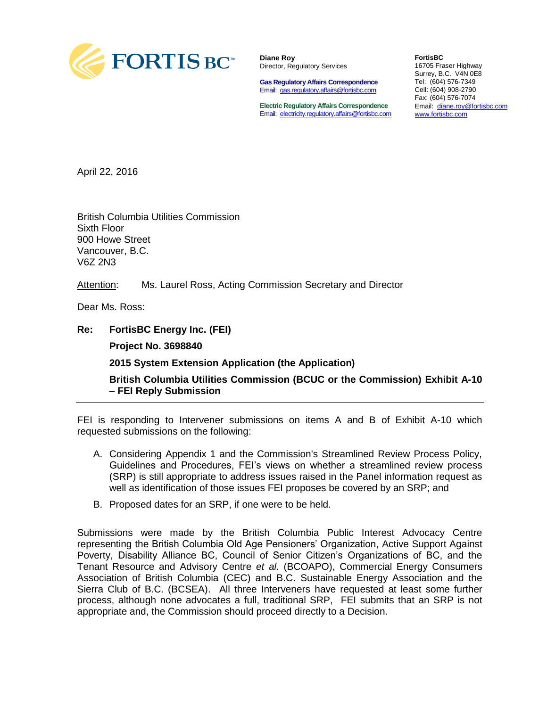

**Diane Roy** Director, Regulatory Services

**Gas Regulatory Affairs Correspondence** Email: [gas.regulatory.affairs@fortisbc.com](mailto:gas.regulatory.affairs@fortisbc.com)

**Electric Regulatory Affairs Correspondence** Email: [electricity.regulatory.affairs@fortisbc.com](mailto:electricity.regulatory.affairs@fortisbc.com)

**FortisBC**  16705 Fraser Highway Surrey, B.C. V4N 0E8 Tel: (604) 576-7349 Cell: (604) 908-2790 Fax: (604) 576-7074 Email: [diane.roy@fortisbc.com](mailto:diane.roy@fortisbc.com)  [www.fortisbc.com](http://www.fortisbc.com/)

April 22, 2016

British Columbia Utilities Commission Sixth Floor 900 Howe Street Vancouver, B.C. V6Z 2N3

Attention: Ms. Laurel Ross, Acting Commission Secretary and Director

Dear Ms. Ross:

**Re: FortisBC Energy Inc. (FEI) Project No. 3698840 2015 System Extension Application (the Application) British Columbia Utilities Commission (BCUC or the Commission) Exhibit A-10 – FEI Reply Submission**

FEI is responding to Intervener submissions on items A and B of Exhibit A-10 which requested submissions on the following:

- A. Considering Appendix 1 and the Commission's Streamlined Review Process Policy, Guidelines and Procedures, FEI's views on whether a streamlined review process (SRP) is still appropriate to address issues raised in the Panel information request as well as identification of those issues FEI proposes be covered by an SRP; and
- B. Proposed dates for an SRP, if one were to be held.

Submissions were made by the British Columbia Public Interest Advocacy Centre representing the British Columbia Old Age Pensioners' Organization, Active Support Against Poverty, Disability Alliance BC, Council of Senior Citizen's Organizations of BC, and the Tenant Resource and Advisory Centre *et al.* (BCOAPO), Commercial Energy Consumers Association of British Columbia (CEC) and B.C. Sustainable Energy Association and the Sierra Club of B.C. (BCSEA). All three Interveners have requested at least some further process, although none advocates a full, traditional SRP, FEI submits that an SRP is not appropriate and, the Commission should proceed directly to a Decision.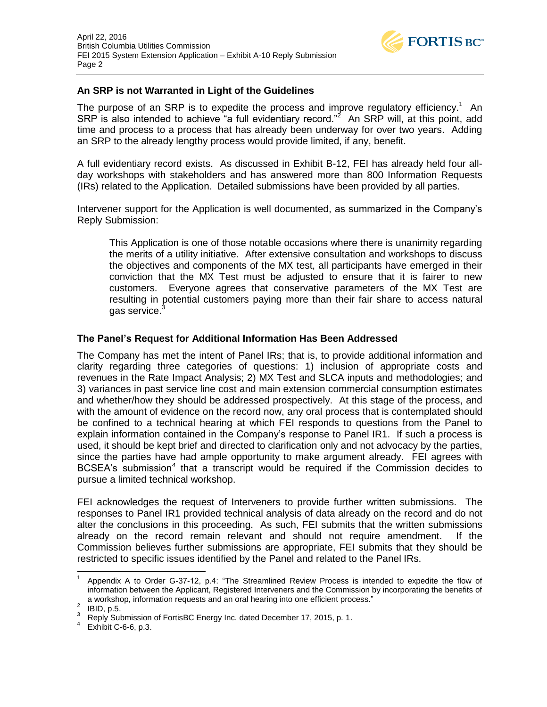

## **An SRP is not Warranted in Light of the Guidelines**

The purpose of an SRP is to expedite the process and improve regulatory efficiency.<sup>1</sup> An SRP is also intended to achieve "a full evidentiary record."<sup>2</sup> An SRP will, at this point, add time and process to a process that has already been underway for over two years. Adding an SRP to the already lengthy process would provide limited, if any, benefit.

A full evidentiary record exists. As discussed in Exhibit B-12, FEI has already held four allday workshops with stakeholders and has answered more than 800 Information Requests (IRs) related to the Application. Detailed submissions have been provided by all parties.

Intervener support for the Application is well documented, as summarized in the Company's Reply Submission:

This Application is one of those notable occasions where there is unanimity regarding the merits of a utility initiative. After extensive consultation and workshops to discuss the objectives and components of the MX test, all participants have emerged in their conviction that the MX Test must be adjusted to ensure that it is fairer to new customers. Everyone agrees that conservative parameters of the MX Test are resulting in potential customers paying more than their fair share to access natural das service.<sup>3</sup>

## **The Panel's Request for Additional Information Has Been Addressed**

The Company has met the intent of Panel IRs; that is, to provide additional information and clarity regarding three categories of questions: 1) inclusion of appropriate costs and revenues in the Rate Impact Analysis; 2) MX Test and SLCA inputs and methodologies; and 3) variances in past service line cost and main extension commercial consumption estimates and whether/how they should be addressed prospectively. At this stage of the process, and with the amount of evidence on the record now, any oral process that is contemplated should be confined to a technical hearing at which FEI responds to questions from the Panel to explain information contained in the Company's response to Panel IR1. If such a process is used, it should be kept brief and directed to clarification only and not advocacy by the parties, since the parties have had ample opportunity to make argument already. FEI agrees with BCSEA's submission*<sup>4</sup>* that a transcript would be required if the Commission decides to pursue a limited technical workshop.

FEI acknowledges the request of Interveners to provide further written submissions. The responses to Panel IR1 provided technical analysis of data already on the record and do not alter the conclusions in this proceeding. As such, FEI submits that the written submissions already on the record remain relevant and should not require amendment. If the Commission believes further submissions are appropriate, FEI submits that they should be restricted to specific issues identified by the Panel and related to the Panel IRs.

 $\overline{\phantom{a}}$ 

<sup>1</sup> Appendix A to Order G-37-12, p.4: "The Streamlined Review Process is intended to expedite the flow of information between the Applicant, Registered Interveners and the Commission by incorporating the benefits of a workshop, information requests and an oral hearing into one efficient process."

 $<sup>2</sup>$  IBID, p.5.</sup>

<sup>&</sup>lt;sup>3</sup> Reply Submission of FortisBC Energy Inc. dated December 17, 2015, p. 1.<br><sup>4</sup> Exhibit C 6 6 p. 3

Exhibit C-6-6, p.3.